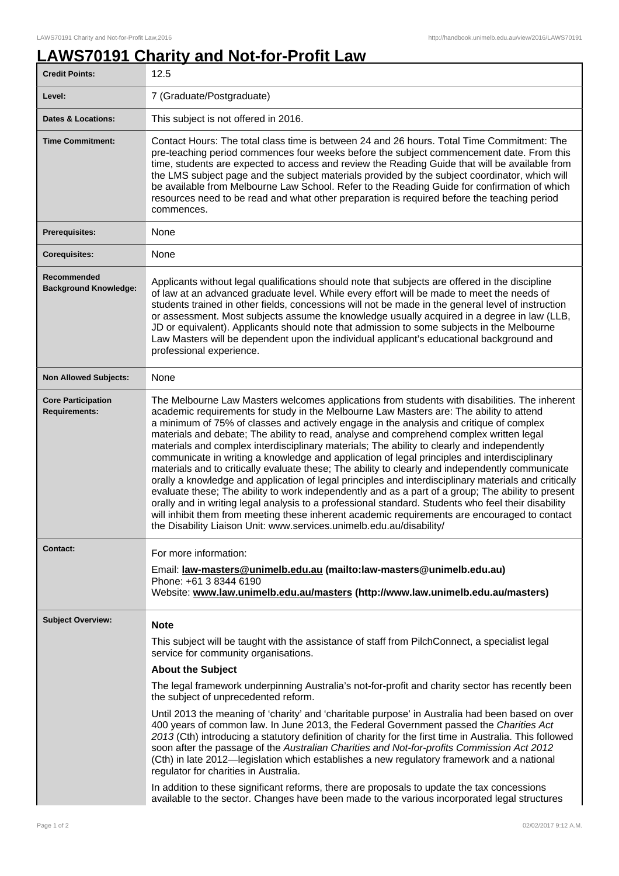## **LAWS70191 Charity and Not-for-Profit Law**

| <b>Credit Points:</b>                             | 12.5                                                                                                                                                                                                                                                                                                                                                                                                                                                                                                                                                                                                                                                                                                                                                                                                                                                                                                                                                                                                                                                                                                                                                                             |
|---------------------------------------------------|----------------------------------------------------------------------------------------------------------------------------------------------------------------------------------------------------------------------------------------------------------------------------------------------------------------------------------------------------------------------------------------------------------------------------------------------------------------------------------------------------------------------------------------------------------------------------------------------------------------------------------------------------------------------------------------------------------------------------------------------------------------------------------------------------------------------------------------------------------------------------------------------------------------------------------------------------------------------------------------------------------------------------------------------------------------------------------------------------------------------------------------------------------------------------------|
| Level:                                            | 7 (Graduate/Postgraduate)                                                                                                                                                                                                                                                                                                                                                                                                                                                                                                                                                                                                                                                                                                                                                                                                                                                                                                                                                                                                                                                                                                                                                        |
| <b>Dates &amp; Locations:</b>                     | This subject is not offered in 2016.                                                                                                                                                                                                                                                                                                                                                                                                                                                                                                                                                                                                                                                                                                                                                                                                                                                                                                                                                                                                                                                                                                                                             |
| <b>Time Commitment:</b>                           | Contact Hours: The total class time is between 24 and 26 hours. Total Time Commitment: The<br>pre-teaching period commences four weeks before the subject commencement date. From this<br>time, students are expected to access and review the Reading Guide that will be available from<br>the LMS subject page and the subject materials provided by the subject coordinator, which will<br>be available from Melbourne Law School. Refer to the Reading Guide for confirmation of which<br>resources need to be read and what other preparation is required before the teaching period<br>commences.                                                                                                                                                                                                                                                                                                                                                                                                                                                                                                                                                                          |
| <b>Prerequisites:</b>                             | None                                                                                                                                                                                                                                                                                                                                                                                                                                                                                                                                                                                                                                                                                                                                                                                                                                                                                                                                                                                                                                                                                                                                                                             |
| <b>Corequisites:</b>                              | None                                                                                                                                                                                                                                                                                                                                                                                                                                                                                                                                                                                                                                                                                                                                                                                                                                                                                                                                                                                                                                                                                                                                                                             |
| Recommended<br><b>Background Knowledge:</b>       | Applicants without legal qualifications should note that subjects are offered in the discipline<br>of law at an advanced graduate level. While every effort will be made to meet the needs of<br>students trained in other fields, concessions will not be made in the general level of instruction<br>or assessment. Most subjects assume the knowledge usually acquired in a degree in law (LLB,<br>JD or equivalent). Applicants should note that admission to some subjects in the Melbourne<br>Law Masters will be dependent upon the individual applicant's educational background and<br>professional experience.                                                                                                                                                                                                                                                                                                                                                                                                                                                                                                                                                         |
| <b>Non Allowed Subjects:</b>                      | None                                                                                                                                                                                                                                                                                                                                                                                                                                                                                                                                                                                                                                                                                                                                                                                                                                                                                                                                                                                                                                                                                                                                                                             |
| <b>Core Participation</b><br><b>Requirements:</b> | The Melbourne Law Masters welcomes applications from students with disabilities. The inherent<br>academic requirements for study in the Melbourne Law Masters are: The ability to attend<br>a minimum of 75% of classes and actively engage in the analysis and critique of complex<br>materials and debate; The ability to read, analyse and comprehend complex written legal<br>materials and complex interdisciplinary materials; The ability to clearly and independently<br>communicate in writing a knowledge and application of legal principles and interdisciplinary<br>materials and to critically evaluate these; The ability to clearly and independently communicate<br>orally a knowledge and application of legal principles and interdisciplinary materials and critically<br>evaluate these; The ability to work independently and as a part of a group; The ability to present<br>orally and in writing legal analysis to a professional standard. Students who feel their disability<br>will inhibit them from meeting these inherent academic requirements are encouraged to contact<br>the Disability Liaison Unit: www.services.unimelb.edu.au/disability/ |
| Contact:                                          | For more information:<br>Email: law-masters@unimelb.edu.au (mailto:law-masters@unimelb.edu.au)<br>Phone: +61 3 8344 6190<br>Website: www.law.unimelb.edu.au/masters (http://www.law.unimelb.edu.au/masters)                                                                                                                                                                                                                                                                                                                                                                                                                                                                                                                                                                                                                                                                                                                                                                                                                                                                                                                                                                      |
| <b>Subject Overview:</b>                          | <b>Note</b>                                                                                                                                                                                                                                                                                                                                                                                                                                                                                                                                                                                                                                                                                                                                                                                                                                                                                                                                                                                                                                                                                                                                                                      |
|                                                   | This subject will be taught with the assistance of staff from PilchConnect, a specialist legal<br>service for community organisations.<br><b>About the Subject</b>                                                                                                                                                                                                                                                                                                                                                                                                                                                                                                                                                                                                                                                                                                                                                                                                                                                                                                                                                                                                               |
|                                                   | The legal framework underpinning Australia's not-for-profit and charity sector has recently been<br>the subject of unprecedented reform.                                                                                                                                                                                                                                                                                                                                                                                                                                                                                                                                                                                                                                                                                                                                                                                                                                                                                                                                                                                                                                         |
|                                                   | Until 2013 the meaning of 'charity' and 'charitable purpose' in Australia had been based on over<br>400 years of common law. In June 2013, the Federal Government passed the Charities Act<br>2013 (Cth) introducing a statutory definition of charity for the first time in Australia. This followed<br>soon after the passage of the Australian Charities and Not-for-profits Commission Act 2012<br>(Cth) in late 2012—legislation which establishes a new regulatory framework and a national<br>regulator for charities in Australia.                                                                                                                                                                                                                                                                                                                                                                                                                                                                                                                                                                                                                                       |
|                                                   | In addition to these significant reforms, there are proposals to update the tax concessions<br>available to the sector. Changes have been made to the various incorporated legal structures                                                                                                                                                                                                                                                                                                                                                                                                                                                                                                                                                                                                                                                                                                                                                                                                                                                                                                                                                                                      |